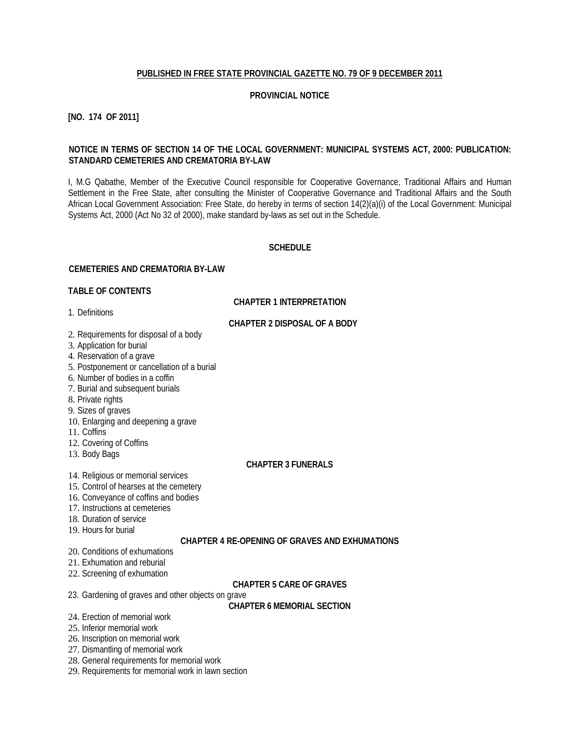#### **PUBLISHED IN FREE STATE PROVINCIAL GAZETTE NO. 79 OF 9 DECEMBER 2011**

#### **PROVINCIAL NOTICE**

**[NO. 174 OF 2011]**

## **NOTICE IN TERMS OF SECTION 14 OF THE LOCAL GOVERNMENT: MUNICIPAL SYSTEMS ACT, 2000: PUBLICATION: STANDARD CEMETERIES AND CREMATORIA BY-LAW**

I, M.G Qabathe, Member of the Executive Council responsible for Cooperative Governance, Traditional Affairs and Human Settlement in the Free State, after consulting the Minister of Cooperative Governance and Traditional Affairs and the South African Local Government Association: Free State, do hereby in terms of section 14(2)(a)(i) of the Local Government: Municipal Systems Act, 2000 (Act No 32 of 2000), make standard by-laws as set out in the Schedule.

## **SCHEDULE**

#### **CEMETERIES AND CREMATORIA BY-LAW**

#### **TABLE OF CONTENTS**

1. Definitions

## **CHAPTER 1 INTERPRETATION**

## **CHAPTER 2 DISPOSAL OF A BODY**

- 2. Requirements for disposal of a body
- 3. Application for burial
- 4. Reservation of a grave
- 5. Postponement or cancellation of a burial
- 6. Number of bodies in a coffin
- 7. Burial and subsequent burials
- 8. Private rights
- 9. Sizes of graves
- 10. Enlarging and deepening a grave
- 11. Coffins
- 12. Covering of Coffins
- 13. Body Bags

#### **CHAPTER 3 FUNERALS**

- 14. Religious or memorial services
- 15. Control of hearses at the cemetery
- 16. Conveyance of coffins and bodies
- 17. Instructions at cemeteries
- 18. Duration of service
- 19. Hours for burial

#### **CHAPTER 4 RE-OPENING OF GRAVES AND EXHUMATIONS**

- 20. Conditions of exhumations
- 21. Exhumation and reburial
- 22. Screening of exhumation

## **CHAPTER 5 CARE OF GRAVES**

- 23. Gardening of graves and other objects on grave
	- **CHAPTER 6 MEMORIAL SECTION**
- 24. Erection of memorial work
- 25. Inferior memorial work
- 26. Inscription on memorial work
- 27. Dismantling of memorial work
- 28. General requirements for memorial work
- 29. Requirements for memorial work in lawn section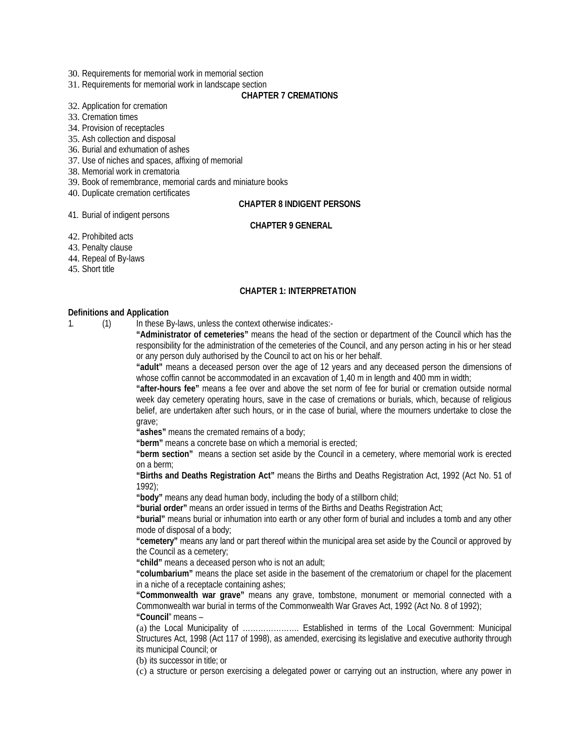- 30. Requirements for memorial work in memorial section
- 31. Requirements for memorial work in landscape section

#### **CHAPTER 7 CREMATIONS**

#### 32. Application for cremation

33. Cremation times

34. Provision of receptacles

35. Ash collection and disposal

36. Burial and exhumation of ashes

37. Use of niches and spaces, affixing of memorial

38. Memorial work in crematoria

41. Burial of indigent persons

39. Book of remembrance, memorial cards and miniature books

40. Duplicate cremation certificates

## **CHAPTER 8 INDIGENT PERSONS**

#### **CHAPTER 9 GENERAL**

42. Prohibited acts

43. Penalty clause

44. Repeal of By-laws

45. Short title

#### **CHAPTER 1: INTERPRETATION**

#### **Definitions and Application**

1. (1) In these By-laws, unless the context otherwise indicates:-

**"Administrator of cemeteries"** means the head of the section or department of the Council which has the responsibility for the administration of the cemeteries of the Council, and any person acting in his or her stead or any person duly authorised by the Council to act on his or her behalf.

**"adult"** means a deceased person over the age of 12 years and any deceased person the dimensions of whose coffin cannot be accommodated in an excavation of 1,40 m in length and 400 mm in width;

**"after-hours fee"** means a fee over and above the set norm of fee for burial or cremation outside normal week day cemetery operating hours, save in the case of cremations or burials, which, because of religious belief, are undertaken after such hours, or in the case of burial, where the mourners undertake to close the grave;

**"ashes"** means the cremated remains of a body;

**"berm"** means a concrete base on which a memorial is erected;

**"berm section"** means a section set aside by the Council in a cemetery, where memorial work is erected on a berm;

**"Births and Deaths Registration Act"** means the Births and Deaths Registration Act, 1992 (Act No. 51 of 1992);

**"body"** means any dead human body, including the body of a stillborn child;

**"burial order"** means an order issued in terms of the Births and Deaths Registration Act;

**"burial"** means burial or inhumation into earth or any other form of burial and includes a tomb and any other mode of disposal of a body;

**"cemetery"** means any land or part thereof within the municipal area set aside by the Council or approved by the Council as a cemetery;

**"child"** means a deceased person who is not an adult;

**"columbarium"** means the place set aside in the basement of the crematorium or chapel for the placement in a niche of a receptacle containing ashes;

**"Commonwealth war grave"** means any grave, tombstone, monument or memorial connected with a Commonwealth war burial in terms of the Commonwealth War Graves Act, 1992 (Act No. 8 of 1992); **"Council**" means –

(a) the Local Municipality of …………………. Established in terms of the Local Government: Municipal Structures Act, 1998 (Act 117 of 1998), as amended, exercising its legislative and executive authority through its municipal Council; or

(b) its successor in title; or

(c) a structure or person exercising a delegated power or carrying out an instruction, where any power in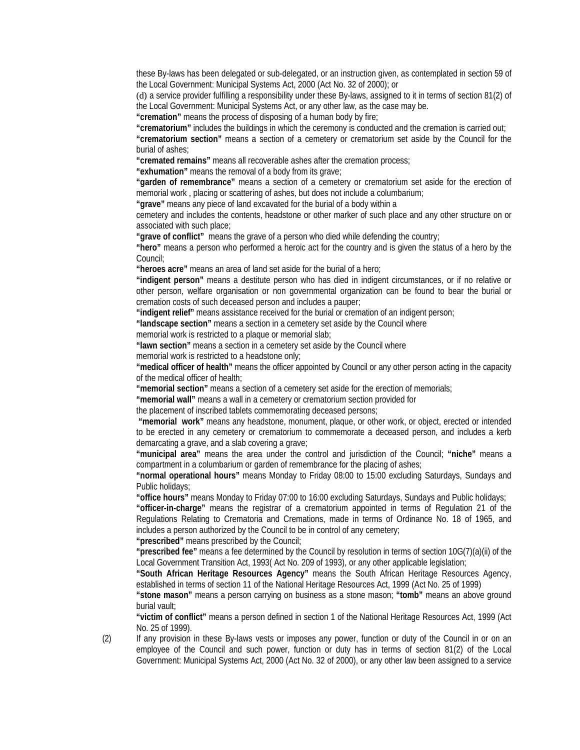these By-laws has been delegated or sub-delegated, or an instruction given, as contemplated in section 59 of the Local Government: Municipal Systems Act, 2000 (Act No. 32 of 2000); or

(d) a service provider fulfilling a responsibility under these By-laws, assigned to it in terms of section 81(2) of the Local Government: Municipal Systems Act, or any other law, as the case may be.

**"cremation"** means the process of disposing of a human body by fire;

**"crematorium"** includes the buildings in which the ceremony is conducted and the cremation is carried out;

**"crematorium section"** means a section of a cemetery or crematorium set aside by the Council for the burial of ashes;

**"cremated remains"** means all recoverable ashes after the cremation process;

**"exhumation"** means the removal of a body from its grave;

**"garden of remembrance"** means a section of a cemetery or crematorium set aside for the erection of memorial work , placing or scattering of ashes, but does not include a columbarium;

**"grave"** means any piece of land excavated for the burial of a body within a

cemetery and includes the contents, headstone or other marker of such place and any other structure on or associated with such place;

**"grave of conflict"** means the grave of a person who died while defending the country;

**"hero"** means a person who performed a heroic act for the country and is given the status of a hero by the Council;

**"heroes acre"** means an area of land set aside for the burial of a hero;

**"indigent person"** means a destitute person who has died in indigent circumstances, or if no relative or other person, welfare organisation or non governmental organization can be found to bear the burial or cremation costs of such deceased person and includes a pauper;

**"indigent relief"** means assistance received for the burial or cremation of an indigent person;

**"landscape section"** means a section in a cemetery set aside by the Council where

memorial work is restricted to a plaque or memorial slab;

**"lawn section"** means a section in a cemetery set aside by the Council where

memorial work is restricted to a headstone only;

**"medical officer of health"** means the officer appointed by Council or any other person acting in the capacity of the medical officer of health;

**"memorial section"** means a section of a cemetery set aside for the erection of memorials;

**"memorial wall"** means a wall in a cemetery or crematorium section provided for

the placement of inscribed tablets commemorating deceased persons;

**"memorial work"** means any headstone, monument, plaque, or other work, or object, erected or intended to be erected in any cemetery or crematorium to commemorate a deceased person, and includes a kerb demarcating a grave, and a slab covering a grave;

**"municipal area"** means the area under the control and jurisdiction of the Council; **"niche"** means a compartment in a columbarium or garden of remembrance for the placing of ashes;

**"normal operational hours"** means Monday to Friday 08:00 to 15:00 excluding Saturdays, Sundays and Public holidays;

**"office hours"** means Monday to Friday 07:00 to 16:00 excluding Saturdays, Sundays and Public holidays;

**"officer-in-charge"** means the registrar of a crematorium appointed in terms of Regulation 21 of the Regulations Relating to Crematoria and Cremations, made in terms of Ordinance No. 18 of 1965, and includes a person authorized by the Council to be in control of any cemetery;

**"prescribed"** means prescribed by the Council;

**"prescribed fee"** means a fee determined by the Council by resolution in terms of section 10G(7)(a)(ii) of the Local Government Transition Act, 1993( Act No. 209 of 1993), or any other applicable legislation;

**"South African Heritage Resources Agency"** means the South African Heritage Resources Agency, established in terms of section 11 of the National Heritage Resources Act, 1999 (Act No. 25 of 1999)

**"stone mason"** means a person carrying on business as a stone mason; **"tomb"** means an above ground burial vault;

**"victim of conflict"** means a person defined in section 1 of the National Heritage Resources Act, 1999 (Act No. 25 of 1999).

(2) If any provision in these By-laws vests or imposes any power, function or duty of the Council in or on an employee of the Council and such power, function or duty has in terms of section 81(2) of the Local Government: Municipal Systems Act, 2000 (Act No. 32 of 2000), or any other law been assigned to a service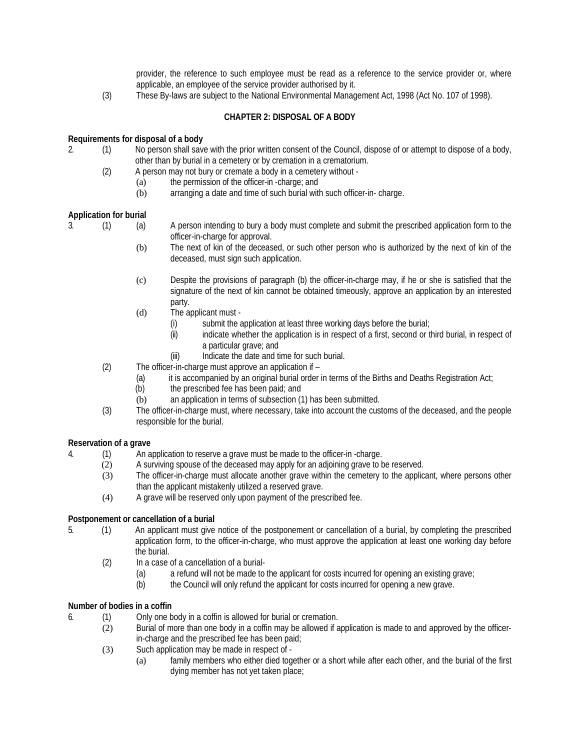provider, the reference to such employee must be read as a reference to the service provider or, where applicable, an employee of the service provider authorised by it.

(3) These By-laws are subject to the National Environmental Management Act, 1998 (Act No. 107 of 1998).

## **CHAPTER 2: DISPOSAL OF A BODY**

## **Requirements for disposal of a body**

- 2. (1) No person shall save with the prior written consent of the Council, dispose of or attempt to dispose of a body, other than by burial in a cemetery or by cremation in a crematorium.
	- (2) A person may not bury or cremate a body in a cemetery without
		- (a) the permission of the officer-in -charge; and<br>(b) arranging a date and time of such burial with
			- arranging a date and time of such burial with such officer-in- charge.

## **Application for burial**

- 3. (1) (a) A person intending to bury a body must complete and submit the prescribed application form to the officer-in-charge for approval.
	- (b) The next of kin of the deceased, or such other person who is authorized by the next of kin of the deceased, must sign such application.
	- (c) Despite the provisions of paragraph (b) the officer-in-charge may, if he or she is satisfied that the signature of the next of kin cannot be obtained timeously, approve an application by an interested party.
	- (d) The applicant must
		- (i) submit the application at least three working days before the burial;
		- (ii) indicate whether the application is in respect of a first, second or third burial, in respect of a particular grave; and
		- (iii) Indicate the date and time for such burial.
	- (2) The officer-in-charge must approve an application if
		- (a) it is accompanied by an original burial order in terms of the Births and Deaths Registration Act;
		- (b) the prescribed fee has been paid; and
		- (b) an application in terms of subsection (1) has been submitted.
	- (3) The officer-in-charge must, where necessary, take into account the customs of the deceased, and the people responsible for the burial.

## **Reservation of a grave**

- 4. (1) An application to reserve a grave must be made to the officer-in -charge.
	- (2) A surviving spouse of the deceased may apply for an adjoining grave to be reserved.
		- (3) The officer-in-charge must allocate another grave within the cemetery to the applicant, where persons other than the applicant mistakenly utilized a reserved grave.
		- (4) A grave will be reserved only upon payment of the prescribed fee.

## **Postponement or cancellation of a burial**

- 5. (1) An applicant must give notice of the postponement or cancellation of a burial, by completing the prescribed application form, to the officer-in-charge, who must approve the application at least one working day before the burial.
	- (2) In a case of a cancellation of a burial-
		- (a) a refund will not be made to the applicant for costs incurred for opening an existing grave;<br>(b) the Council will only refund the applicant for costs incurred for opening a new grave.
		- the Council will only refund the applicant for costs incurred for opening a new grave.

## **Number of bodies in a coffin**

- 6. (1) Only one body in a coffin is allowed for burial or cremation.
	- (2) Burial of more than one body in a coffin may be allowed if application is made to and approved by the officerin-charge and the prescribed fee has been paid;
	- (3) Such application may be made in respect of
		- (a) family members who either died together or a short while after each other, and the burial of the first dying member has not yet taken place;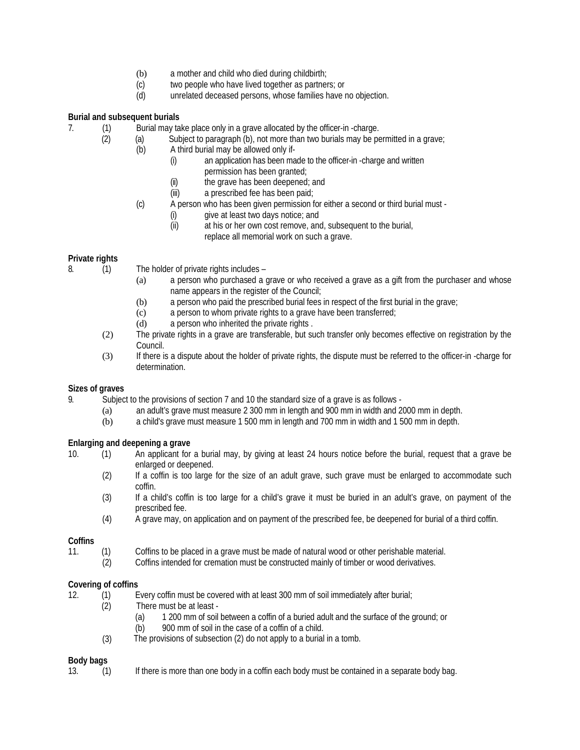- (b) a mother and child who died during childbirth;
- (c) two people who have lived together as partners; or
- (d) unrelated deceased persons, whose families have no objection.

## **Burial and subsequent burials**

- 7. (1) Burial may take place only in a grave allocated by the officer-in -charge.
	- (2) (a) Subject to paragraph (b), not more than two burials may be permitted in a grave;
		- (b) A third burial may be allowed only if-
			- (i) an application has been made to the officer-in -charge and written permission has been granted;
			-
			- (ii) the grave has been deepened; and<br>(iii) a prescribed fee has been paid: a prescribed fee has been paid;
			- (c) A person who has been given permission for either a second or third burial must
				- (i) give at least two days notice; and
				- (ii) at his or her own cost remove, and, subsequent to the burial, replace all memorial work on such a grave.

## **Private rights**

- 8. (1) The holder of private rights includes
	- (a) a person who purchased a grave or who received a grave as a gift from the purchaser and whose name appears in the register of the Council;
	- (b) a person who paid the prescribed burial fees in respect of the first burial in the grave;
	- (c) a person to whom private rights to a grave have been transferred;
	- (d) a person who inherited the private rights .
	- (2) The private rights in a grave are transferable, but such transfer only becomes effective on registration by the Council.
	- (3) If there is a dispute about the holder of private rights, the dispute must be referred to the officer-in -charge for determination.

## **Sizes of graves**

- 9. Subject to the provisions of section 7 and 10 the standard size of a grave is as follows
	- (a) an adult's grave must measure 2 300 mm in length and 900 mm in width and 2000 mm in depth.
	- (b) a child's grave must measure 1 500 mm in length and 700 mm in width and 1 500 mm in depth.

## **Enlarging and deepening a grave**

- 10. (1) An applicant for a burial may, by giving at least 24 hours notice before the burial, request that a grave be enlarged or deepened.
	- (2) If a coffin is too large for the size of an adult grave, such grave must be enlarged to accommodate such coffin.
	- (3) If a child's coffin is too large for a child's grave it must be buried in an adult's grave, on payment of the prescribed fee.
	- (4) A grave may, on application and on payment of the prescribed fee, be deepened for burial of a third coffin.

## **Coffins**

- 11. (1) Coffins to be placed in a grave must be made of natural wood or other perishable material.
	- (2) Coffins intended for cremation must be constructed mainly of timber or wood derivatives.

## **Covering of coffins**

- 12. (1) Every coffin must be covered with at least 300 mm of soil immediately after burial;
	- (2) There must be at least
		- (a) 1 200 mm of soil between a coffin of a buried adult and the surface of the ground; or (b) 900 mm of soil in the case of a coffin of a child.
	- The provisions of subsection (2) do not apply to a burial in a tomb. (3)

## **Body bags**

13. (1) If there is more than one body in a coffin each body must be contained in a separate body bag.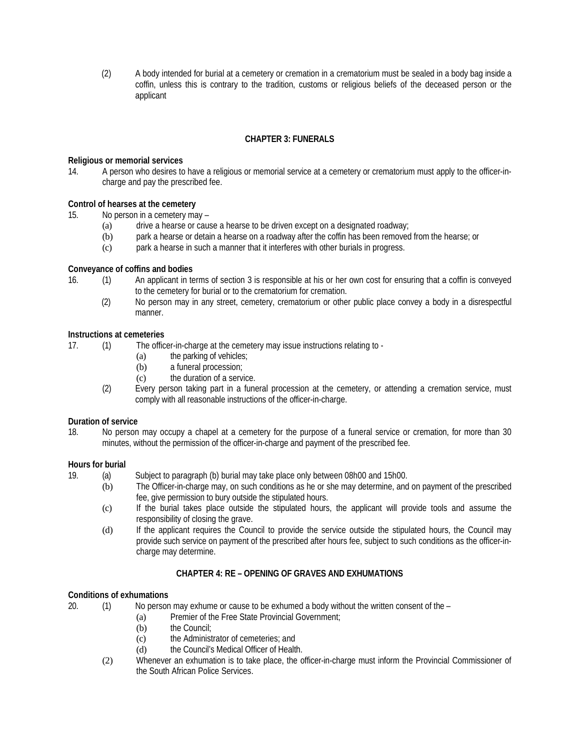(2) A body intended for burial at a cemetery or cremation in a crematorium must be sealed in a body bag inside a coffin, unless this is contrary to the tradition, customs or religious beliefs of the deceased person or the applicant

## **CHAPTER 3: FUNERALS**

## **Religious or memorial services**

14. A person who desires to have a religious or memorial service at a cemetery or crematorium must apply to the officer-incharge and pay the prescribed fee.

## **Control of hearses at the cemetery**

15. No person in a cemetery may –

- (a) drive a hearse or cause a hearse to be driven except on a designated roadway;
- (b) park a hearse or detain a hearse on a roadway after the coffin has been removed from the hearse; or
- (c) park a hearse in such a manner that it interferes with other burials in progress.

## **Conveyance of coffins and bodies**

- 16. (1) An applicant in terms of section 3 is responsible at his or her own cost for ensuring that a coffin is conveyed to the cemetery for burial or to the crematorium for cremation.
	- (2) No person may in any street, cemetery, crematorium or other public place convey a body in a disrespectful manner.

## **Instructions at cemeteries**

17. (1) The officer-in-charge at the cemetery may issue instructions relating to -

- (a) the parking of vehicles;
- (b) a funeral procession;
- (c) the duration of a service.
- (2) Every person taking part in a funeral procession at the cemetery, or attending a cremation service, must comply with all reasonable instructions of the officer-in-charge.

## **Duration of service**

18. No person may occupy a chapel at a cemetery for the purpose of a funeral service or cremation, for more than 30 minutes, without the permission of the officer-in-charge and payment of the prescribed fee.

## **Hours for burial**

- 19. (a) Subject to paragraph (b) burial may take place only between 08h00 and 15h00.
	- (b) The Officer-in-charge may, on such conditions as he or she may determine, and on payment of the prescribed fee, give permission to bury outside the stipulated hours.
	- (c) If the burial takes place outside the stipulated hours, the applicant will provide tools and assume the responsibility of closing the grave.
	- (d) If the applicant requires the Council to provide the service outside the stipulated hours, the Council may provide such service on payment of the prescribed after hours fee, subject to such conditions as the officer-incharge may determine.

## **CHAPTER 4: RE – OPENING OF GRAVES AND EXHUMATIONS**

## **Conditions of exhumations**

20. (1) No person may exhume or cause to be exhumed a body without the written consent of the –

- (a) Premier of the Free State Provincial Government;
- (b) the Council:
- (c) the Administrator of cemeteries; and
- (d) the Council's Medical Officer of Health.
- (2) Whenever an exhumation is to take place, the officer-in-charge must inform the Provincial Commissioner of the South African Police Services.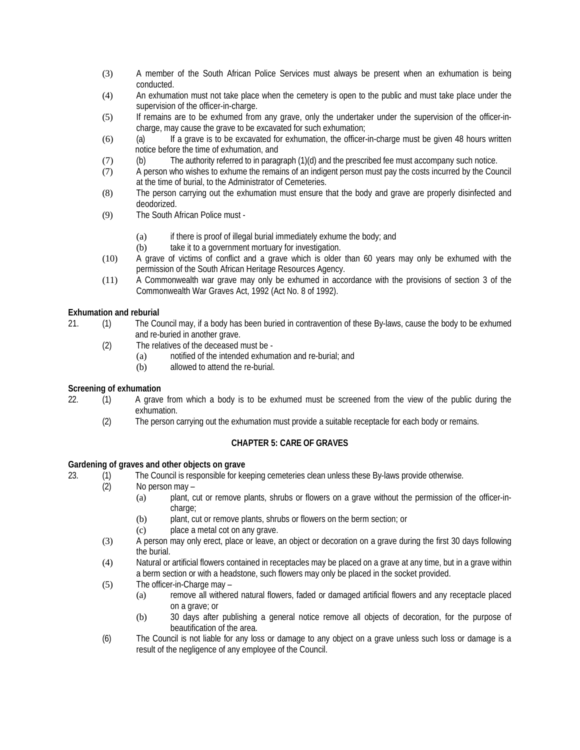- (3) A member of the South African Police Services must always be present when an exhumation is being conducted.
- (4) An exhumation must not take place when the cemetery is open to the public and must take place under the supervision of the officer-in-charge.
- (5) If remains are to be exhumed from any grave, only the undertaker under the supervision of the officer-incharge, may cause the grave to be excavated for such exhumation;
- (6) (a) If a grave is to be excavated for exhumation, the officer-in-charge must be given 48 hours written notice before the time of exhumation, and
- (7) (b) The authority referred to in paragraph (1)(d) and the prescribed fee must accompany such notice.
- (7) A person who wishes to exhume the remains of an indigent person must pay the costs incurred by the Council at the time of burial, to the Administrator of Cemeteries.
- (8) The person carrying out the exhumation must ensure that the body and grave are properly disinfected and deodorized.
- (9) The South African Police must
	- (a) if there is proof of illegal burial immediately exhume the body; and
	- (b) take it to a government mortuary for investigation.
- (10) A grave of victims of conflict and a grave which is older than 60 years may only be exhumed with the permission of the South African Heritage Resources Agency.
- (11) A Commonwealth war grave may only be exhumed in accordance with the provisions of section 3 of the Commonwealth War Graves Act, 1992 (Act No. 8 of 1992).

## **Exhumation and reburial**

- 21. (1) The Council may, if a body has been buried in contravention of these By-laws, cause the body to be exhumed and re-buried in another grave.
	- (2) The relatives of the deceased must be
		- (a) notified of the intended exhumation and re-burial; and
		- (b) allowed to attend the re-burial.

## **Screening of exhumation**

- 22. (1) A grave from which a body is to be exhumed must be screened from the view of the public during the exhumation.
	- (2) The person carrying out the exhumation must provide a suitable receptacle for each body or remains.

## **CHAPTER 5: CARE OF GRAVES**

## **Gardening of graves and other objects on grave**

- 23. (1) The Council is responsible for keeping cemeteries clean unless these By-laws provide otherwise.
	- (2) No person may
		- (a) plant, cut or remove plants, shrubs or flowers on a grave without the permission of the officer-incharge:
			- (b) plant, cut or remove plants, shrubs or flowers on the berm section; or
			- (c) place a metal cot on any grave.
	- (3) A person may only erect, place or leave, an object or decoration on a grave during the first 30 days following the burial.
	- (4) Natural or artificial flowers contained in receptacles may be placed on a grave at any time, but in a grave within a berm section or with a headstone, such flowers may only be placed in the socket provided.
	- (5) The officer-in-Charge may
		- (a) remove all withered natural flowers, faded or damaged artificial flowers and any receptacle placed on a grave; or
		- (b) 30 days after publishing a general notice remove all objects of decoration, for the purpose of beautification of the area.
	- (6) The Council is not liable for any loss or damage to any object on a grave unless such loss or damage is a result of the negligence of any employee of the Council.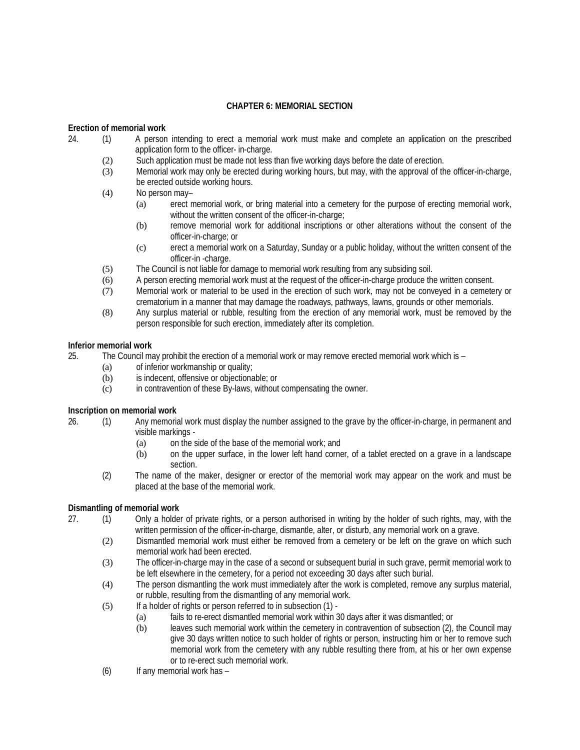## **CHAPTER 6: MEMORIAL SECTION**

## **Erection of memorial work**

- 24. (1) A person intending to erect a memorial work must make and complete an application on the prescribed application form to the officer- in-charge.
	- (2) Such application must be made not less than five working days before the date of erection.
	- (3) Memorial work may only be erected during working hours, but may, with the approval of the officer-in-charge, be erected outside working hours.
	- (4) No person may–
		- (a) erect memorial work, or bring material into a cemetery for the purpose of erecting memorial work, without the written consent of the officer-in-charge;
		- (b) remove memorial work for additional inscriptions or other alterations without the consent of the officer-in-charge; or
		- (c) erect a memorial work on a Saturday, Sunday or a public holiday, without the written consent of the officer-in -charge.
	- (5) The Council is not liable for damage to memorial work resulting from any subsiding soil.
	- (6) A person erecting memorial work must at the request of the officer-in-charge produce the written consent.
	- (7) Memorial work or material to be used in the erection of such work, may not be conveyed in a cemetery or crematorium in a manner that may damage the roadways, pathways, lawns, grounds or other memorials.
	- (8) Any surplus material or rubble, resulting from the erection of any memorial work, must be removed by the person responsible for such erection, immediately after its completion.

## **Inferior memorial work**

25. The Council may prohibit the erection of a memorial work or may remove erected memorial work which is –

- (a) of inferior workmanship or quality;
	- (b) is indecent, offensive or objectionable; or
	- (c) in contravention of these By-laws, without compensating the owner.

## **Inscription on memorial work**

- 26. (1) Any memorial work must display the number assigned to the grave by the officer-in-charge, in permanent and visible markings -
	- (a) on the side of the base of the memorial work; and
	- (b) on the upper surface, in the lower left hand corner, of a tablet erected on a grave in a landscape section.
	- (2) The name of the maker, designer or erector of the memorial work may appear on the work and must be placed at the base of the memorial work.

# **Dismantling of memorial work**<br>27. (1) Only a holder

- 27. (1) Only a holder of private rights, or a person authorised in writing by the holder of such rights, may, with the written permission of the officer-in-charge, dismantle, alter, or disturb, any memorial work on a grave.
	- (2) Dismantled memorial work must either be removed from a cemetery or be left on the grave on which such memorial work had been erected.
	- (3) The officer-in-charge may in the case of a second or subsequent burial in such grave, permit memorial work to be left elsewhere in the cemetery, for a period not exceeding 30 days after such burial.
	- (4) The person dismantling the work must immediately after the work is completed, remove any surplus material, or rubble, resulting from the dismantling of any memorial work.
	- (5) If a holder of rights or person referred to in subsection (1)
		- (a) fails to re-erect dismantled memorial work within 30 days after it was dismantled; or
			- (b) leaves such memorial work within the cemetery in contravention of subsection (2), the Council may give 30 days written notice to such holder of rights or person, instructing him or her to remove such memorial work from the cemetery with any rubble resulting there from, at his or her own expense or to re-erect such memorial work.
	- (6) If any memorial work has –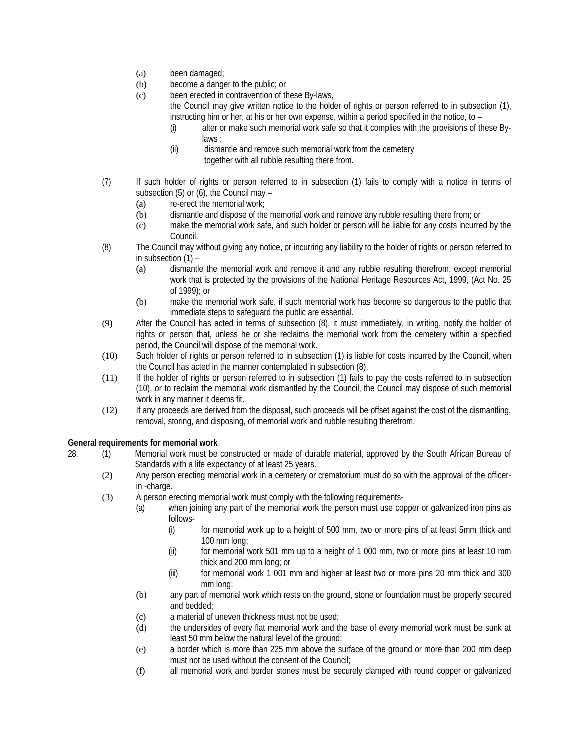- (a) been damaged;
- (b) become a danger to the public; or
- (c) been erected in contravention of these By-laws,
	- the Council may give written notice to the holder of rights or person referred to in subsection (1), instructing him or her, at his or her own expense, within a period specified in the notice, to –
		- (i) alter or make such memorial work safe so that it complies with the provisions of these Bylaws ;
		- (ii) dismantle and remove such memorial work from the cemetery together with all rubble resulting there from.
- (7) If such holder of rights or person referred to in subsection (1) fails to comply with a notice in terms of subsection (5) or (6), the Council may –
	- (a) re-erect the memorial work;
	- (b) dismantle and dispose of the memorial work and remove any rubble resulting there from; or
	- (c) make the memorial work safe, and such holder or person will be liable for any costs incurred by the Council.
- (8) The Council may without giving any notice, or incurring any liability to the holder of rights or person referred to in subsection  $(1)$  –
	- (a) dismantle the memorial work and remove it and any rubble resulting therefrom, except memorial work that is protected by the provisions of the National Heritage Resources Act, 1999, (Act No. 25 of 1999); or
	- (b) make the memorial work safe, if such memorial work has become so dangerous to the public that immediate steps to safeguard the public are essential.
- (9) After the Council has acted in terms of subsection (8), it must immediately, in writing, notify the holder of rights or person that, unless he or she reclaims the memorial work from the cemetery within a specified period, the Council will dispose of the memorial work.
- (10) Such holder of rights or person referred to in subsection (1) is liable for costs incurred by the Council, when the Council has acted in the manner contemplated in subsection (8).
- (11) If the holder of rights or person referred to in subsection (1) fails to pay the costs referred to in subsection (10), or to reclaim the memorial work dismantled by the Council, the Council may dispose of such memorial work in any manner it deems fit.
- (12) If any proceeds are derived from the disposal, such proceeds will be offset against the cost of the dismantling, removal, storing, and disposing, of memorial work and rubble resulting therefrom.

## **General requirements for memorial work**

- 28. (1) Memorial work must be constructed or made of durable material, approved by the South African Bureau of Standards with a life expectancy of at least 25 years.
	- (2) Any person erecting memorial work in a cemetery or crematorium must do so with the approval of the officerin -charge.
	- (3) A person erecting memorial work must comply with the following requirements-
		- (a) when joining any part of the memorial work the person must use copper or galvanized iron pins as follows-
			- (i) for memorial work up to a height of 500 mm, two or more pins of at least 5mm thick and 100 mm long;
			- (ii) for memorial work 501 mm up to a height of 1 000 mm, two or more pins at least 10 mm thick and 200 mm long; or
			- (iii) for memorial work 1 001 mm and higher at least two or more pins 20 mm thick and 300 mm long;
		- (b) any part of memorial work which rests on the ground, stone or foundation must be properly secured and bedded;
		- (c) a material of uneven thickness must not be used;
		- (d) the undersides of every flat memorial work and the base of every memorial work must be sunk at least 50 mm below the natural level of the ground;
		- (e) a border which is more than 225 mm above the surface of the ground or more than 200 mm deep must not be used without the consent of the Council;
		- (f) all memorial work and border stones must be securely clamped with round copper or galvanized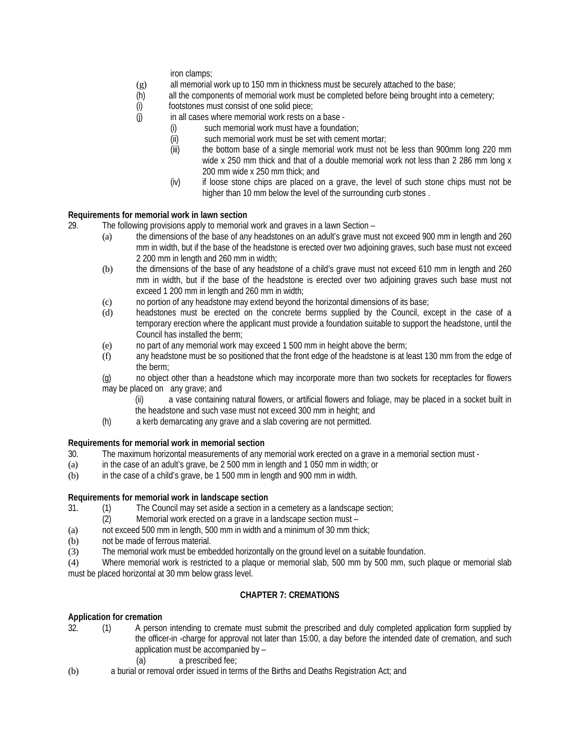iron clamps;

- (g) all memorial work up to 150 mm in thickness must be securely attached to the base;
- (h) all the components of memorial work must be completed before being brought into a cemetery;
- (i) footstones must consist of one solid piece;<br>(i) in all cases where memorial work rests on
- in all cases where memorial work rests on a base -
	- (i) such memorial work must have a foundation;
	- (ii) such memorial work must be set with cement mortar;
	- (iii) the bottom base of a single memorial work must not be less than 900mm long 220 mm wide x 250 mm thick and that of a double memorial work not less than 2 286 mm long x 200 mm wide x 250 mm thick; and
	- (iv) if loose stone chips are placed on a grave, the level of such stone chips must not be higher than 10 mm below the level of the surrounding curb stones .

## **Requirements for memorial work in lawn section**

- 29. The following provisions apply to memorial work and graves in a lawn Section
	- (a) the dimensions of the base of any headstones on an adult's grave must not exceed 900 mm in length and 260 mm in width, but if the base of the headstone is erected over two adjoining graves, such base must not exceed 2 200 mm in length and 260 mm in width;
	- (b) the dimensions of the base of any headstone of a child's grave must not exceed 610 mm in length and 260 mm in width, but if the base of the headstone is erected over two adjoining graves such base must not exceed 1 200 mm in length and 260 mm in width;
	- (c) no portion of any headstone may extend beyond the horizontal dimensions of its base;
	- (d) headstones must be erected on the concrete berms supplied by the Council, except in the case of a temporary erection where the applicant must provide a foundation suitable to support the headstone, until the Council has installed the berm;
	- (e) no part of any memorial work may exceed 1 500 mm in height above the berm;
	- (f) any headstone must be so positioned that the front edge of the headstone is at least 130 mm from the edge of the berm;
	- (g) no object other than a headstone which may incorporate more than two sockets for receptacles for flowers may be placed on any grave; and
		- (ii) a vase containing natural flowers, or artificial flowers and foliage, may be placed in a socket built in the headstone and such vase must not exceed 300 mm in height; and
	- (h) a kerb demarcating any grave and a slab covering are not permitted.

## **Requirements for memorial work in memorial section**

- 30. The maximum horizontal measurements of any memorial work erected on a grave in a memorial section must -
- (a) in the case of an adult's grave, be 2 500 mm in length and 1 050 mm in width; or
- (b) in the case of a child's grave, be 1 500 mm in length and 900 mm in width.

## **Requirements for memorial work in landscape section**

- 31. (1) The Council may set aside a section in a cemetery as a landscape section;<br>(2) Memorial work erected on a grave in a landscape section must
	- Memorial work erected on a grave in a landscape section must -
- (a) not exceed 500 mm in length, 500 mm in width and a minimum of 30 mm thick;
- (b) not be made of ferrous material.
- (3) The memorial work must be embedded horizontally on the ground level on a suitable foundation.

(4) Where memorial work is restricted to a plaque or memorial slab, 500 mm by 500 mm, such plaque or memorial slab must be placed horizontal at 30 mm below grass level.

## **CHAPTER 7: CREMATIONS**

## **Application for cremation**

- 32. (1) A person intending to cremate must submit the prescribed and duly completed application form supplied by the officer-in -charge for approval not later than 15:00, a day before the intended date of cremation, and such application must be accompanied by –
	- (a) a prescribed fee;
- (b) a burial or removal order issued in terms of the Births and Deaths Registration Act; and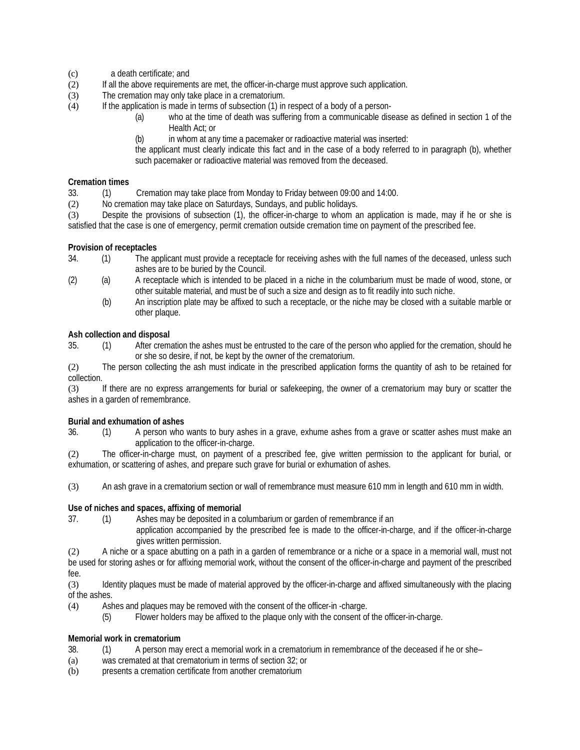- (c) a death certificate; and
- (2) If all the above requirements are met, the officer-in-charge must approve such application.
- (3) The cremation may only take place in a crematorium.
- (4) If the application is made in terms of subsection (1) in respect of a body of a person-
	- (a) who at the time of death was suffering from a communicable disease as defined in section 1 of the Health Act; or
	- (b) in whom at any time a pacemaker or radioactive material was inserted:

the applicant must clearly indicate this fact and in the case of a body referred to in paragraph (b), whether such pacemaker or radioactive material was removed from the deceased.

## **Cremation times**

33. (1) Cremation may take place from Monday to Friday between 09:00 and 14:00.

(2) No cremation may take place on Saturdays, Sundays, and public holidays.

(3) Despite the provisions of subsection (1), the officer-in-charge to whom an application is made, may if he or she is satisfied that the case is one of emergency, permit cremation outside cremation time on payment of the prescribed fee.

## **Provision of receptacles**

- 34. (1) The applicant must provide a receptacle for receiving ashes with the full names of the deceased, unless such ashes are to be buried by the Council.
- (2) (a) A receptacle which is intended to be placed in a niche in the columbarium must be made of wood, stone, or other suitable material, and must be of such a size and design as to fit readily into such niche.
	- (b) An inscription plate may be affixed to such a receptacle, or the niche may be closed with a suitable marble or other plaque.

## **Ash collection and disposal**

35. (1) After cremation the ashes must be entrusted to the care of the person who applied for the cremation, should he or she so desire, if not, be kept by the owner of the crematorium.

(2) The person collecting the ash must indicate in the prescribed application forms the quantity of ash to be retained for collection.

(3) If there are no express arrangements for burial or safekeeping, the owner of a crematorium may bury or scatter the ashes in a garden of remembrance.

## **Burial and exhumation of ashes**

36. (1) A person who wants to bury ashes in a grave, exhume ashes from a grave or scatter ashes must make an application to the officer-in-charge.

(2) The officer-in-charge must, on payment of a prescribed fee, give written permission to the applicant for burial, or exhumation, or scattering of ashes, and prepare such grave for burial or exhumation of ashes.

(3) An ash grave in a crematorium section or wall of remembrance must measure 610 mm in length and 610 mm in width.

## **Use of niches and spaces, affixing of memorial**

37. (1) Ashes may be deposited in a columbarium or garden of remembrance if an

application accompanied by the prescribed fee is made to the officer-in-charge, and if the officer-in-charge gives written permission.

(2) A niche or a space abutting on a path in a garden of remembrance or a niche or a space in a memorial wall, must not be used for storing ashes or for affixing memorial work, without the consent of the officer-in-charge and payment of the prescribed fee.

(3) Identity plaques must be made of material approved by the officer-in-charge and affixed simultaneously with the placing of the ashes.

- (4) Ashes and plaques may be removed with the consent of the officer-in -charge.
	- (5) Flower holders may be affixed to the plaque only with the consent of the officer-in-charge.

## **Memorial work in crematorium**

- 38. (1) A person may erect a memorial work in a crematorium in remembrance of the deceased if he or she–
- (a) was cremated at that crematorium in terms of section 32; or
- (b) presents a cremation certificate from another crematorium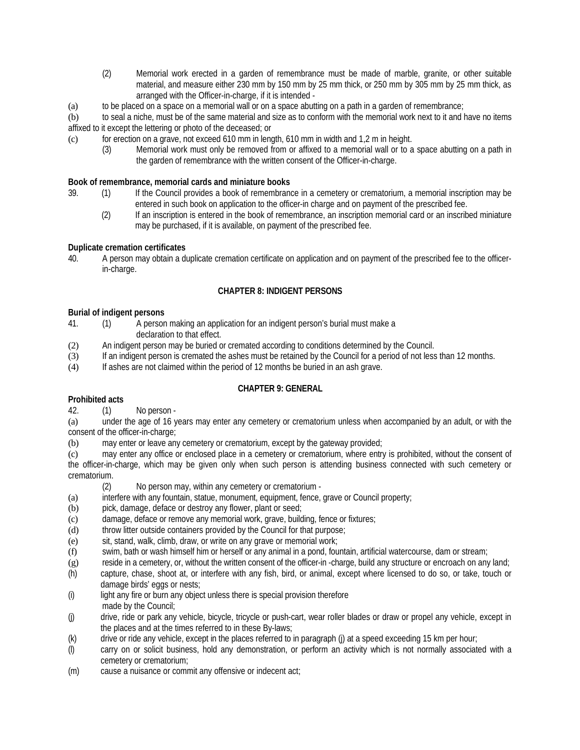- (2) Memorial work erected in a garden of remembrance must be made of marble, granite, or other suitable material, and measure either 230 mm by 150 mm by 25 mm thick, or 250 mm by 305 mm by 25 mm thick, as arranged with the Officer-in-charge, if it is intended -
- (a) to be placed on a space on a memorial wall or on a space abutting on a path in a garden of remembrance;
- (b) to seal a niche, must be of the same material and size as to conform with the memorial work next to it and have no items affixed to it except the lettering or photo of the deceased; or
- $\epsilon$  for erection on a grave, not exceed 610 mm in length, 610 mm in width and 1,2 m in height.
	- (3) Memorial work must only be removed from or affixed to a memorial wall or to a space abutting on a path in the garden of remembrance with the written consent of the Officer-in-charge.

## **Book of remembrance, memorial cards and miniature books**

- 39. (1) If the Council provides a book of remembrance in a cemetery or crematorium, a memorial inscription may be entered in such book on application to the officer-in charge and on payment of the prescribed fee.
	- (2) If an inscription is entered in the book of remembrance, an inscription memorial card or an inscribed miniature may be purchased, if it is available, on payment of the prescribed fee.

## **Duplicate cremation certificates**

40. A person may obtain a duplicate cremation certificate on application and on payment of the prescribed fee to the officerin-charge.

## **CHAPTER 8: INDIGENT PERSONS**

## **Burial of indigent persons**

- 41. (1) A person making an application for an indigent person's burial must make a declaration to that effect.
- (2) An indigent person may be buried or cremated according to conditions determined by the Council.
- (3) If an indigent person is cremated the ashes must be retained by the Council for a period of not less than 12 months.
- (4) If ashes are not claimed within the period of 12 months be buried in an ash grave.

## **CHAPTER 9: GENERAL**

## **Prohibited acts**

42. (1) No person -

(a) under the age of 16 years may enter any cemetery or crematorium unless when accompanied by an adult, or with the consent of the officer-in-charge;

(b) may enter or leave any cemetery or crematorium, except by the gateway provided;

(c) may enter any office or enclosed place in a cemetery or crematorium, where entry is prohibited, without the consent of the officer-in-charge, which may be given only when such person is attending business connected with such cemetery or crematorium.

- (2) No person may, within any cemetery or crematorium -
- (a) interfere with any fountain, statue, monument, equipment, fence, grave or Council property;
- (b) pick, damage, deface or destroy any flower, plant or seed;
- (c) damage, deface or remove any memorial work, grave, building, fence or fixtures;
- (d) throw litter outside containers provided by the Council for that purpose;
- (e) sit, stand, walk, climb, draw, or write on any grave or memorial work;
- (f) swim, bath or wash himself him or herself or any animal in a pond, fountain, artificial watercourse, dam or stream;
- (g) reside in a cemetery, or, without the written consent of the officer-in -charge, build any structure or encroach on any land;
- (h) capture, chase, shoot at, or interfere with any fish, bird, or animal, except where licensed to do so, or take, touch or damage birds' eggs or nests;
- (i) light any fire or burn any object unless there is special provision therefore made by the Council;
- (j) drive, ride or park any vehicle, bicycle, tricycle or push-cart, wear roller blades or draw or propel any vehicle, except in the places and at the times referred to in these By-laws;
- (k) drive or ride any vehicle, except in the places referred to in paragraph (j) at a speed exceeding 15 km per hour;
- (l) carry on or solicit business, hold any demonstration, or perform an activity which is not normally associated with a cemetery or crematorium;
- (m) cause a nuisance or commit any offensive or indecent act;